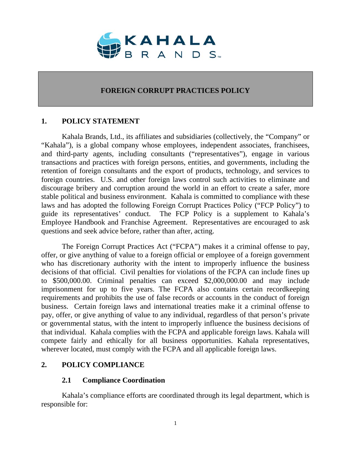

## **FOREIGN CORRUPT PRACTICES POLICY**

## **1. POLICY STATEMENT**

Kahala Brands, Ltd., its affiliates and subsidiaries (collectively, the "Company" or "Kahala"), is a global company whose employees, independent associates, franchisees, and third-party agents, including consultants ("representatives"), engage in various transactions and practices with foreign persons, entities, and governments, including the retention of foreign consultants and the export of products, technology, and services to foreign countries. U.S. and other foreign laws control such activities to eliminate and discourage bribery and corruption around the world in an effort to create a safer, more stable political and business environment. Kahala is committed to compliance with these laws and has adopted the following Foreign Corrupt Practices Policy ("FCP Policy") to guide its representatives' conduct. The FCP Policy is a supplement to Kahala's Employee Handbook and Franchise Agreement. Representatives are encouraged to ask questions and seek advice before, rather than after, acting.

The Foreign Corrupt Practices Act ("FCPA") makes it a criminal offense to pay, offer, or give anything of value to a foreign official or employee of a foreign government who has discretionary authority with the intent to improperly influence the business decisions of that official. Civil penalties for violations of the FCPA can include fines up to \$500,000.00. Criminal penalties can exceed \$2,000,000.00 and may include imprisonment for up to five years. The FCPA also contains certain recordkeeping requirements and prohibits the use of false records or accounts in the conduct of foreign business. Certain foreign laws and international treaties make it a criminal offense to pay, offer, or give anything of value to any individual, regardless of that person's private or governmental status, with the intent to improperly influence the business decisions of that individual. Kahala complies with the FCPA and applicable foreign laws. Kahala will compete fairly and ethically for all business opportunities. Kahala representatives, wherever located, must comply with the FCPA and all applicable foreign laws.

## **2. POLICY COMPLIANCE**

## **2.1 Compliance Coordination**

Kahala's compliance efforts are coordinated through its legal department, which is responsible for: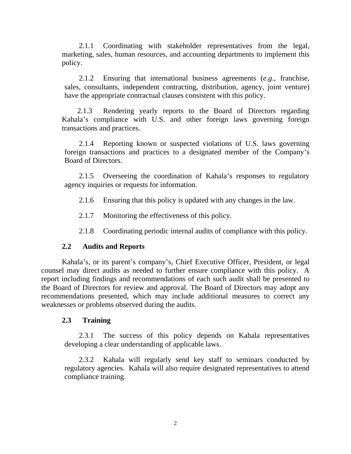2.1.1 Coordinating with stakeholder representatives from the legal, marketing, sales, human resources, and accounting departments to implement this policy.

2.1.2 Ensuring that international business agreements (*e.g*., franchise, sales, consultants, independent contracting, distribution, agency, joint venture) have the appropriate contractual clauses consistent with this policy.

2.1.3 Rendering yearly reports to the Board of Directors regarding Kahala's compliance with U.S. and other foreign laws governing foreign transactions and practices.

2.1.4 Reporting known or suspected violations of U.S. laws governing foreign transactions and practices to a designated member of the Company's Board of Directors.

2.1.5 Overseeing the coordination of Kahala's responses to regulatory agency inquiries or requests for information.

- 2.1.6 Ensuring that this policy is updated with any changes in the law.
- 2.1.7 Monitoring the effectiveness of this policy.
- 2.1.8 Coordinating periodic internal audits of compliance with this policy.

## **2.2 Audits and Reports**

Kahala's, or its parent's company's, Chief Executive Officer, President, or legal counsel may direct audits as needed to further ensure compliance with this policy. A report including findings and recommendations of each such audit shall be presented to the Board of Directors for review and approval. The Board of Directors may adopt any recommendations presented, which may include additional measures to correct any weaknesses or problems observed during the audits.

## **2.3 Training**

2.3.1 The success of this policy depends on Kahala representatives developing a clear understanding of applicable laws.

2.3.2 Kahala will regularly send key staff to seminars conducted by regulatory agencies. Kahala will also require designated representatives to attend compliance training.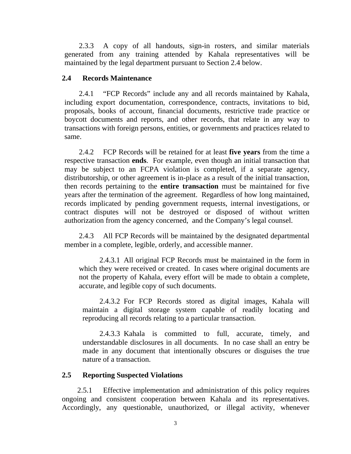2.3.3 A copy of all handouts, sign-in rosters, and similar materials generated from any training attended by Kahala representatives will be maintained by the legal department pursuant to Section 2.4 below.

### **2.4 Records Maintenance**

2.4.1 "FCP Records" include any and all records maintained by Kahala, including export documentation, correspondence, contracts, invitations to bid, proposals, books of account, financial documents, restrictive trade practice or boycott documents and reports, and other records, that relate in any way to transactions with foreign persons, entities, or governments and practices related to same.

2.4.2 FCP Records will be retained for at least **five years** from the time a respective transaction **ends**. For example, even though an initial transaction that may be subject to an FCPA violation is completed, if a separate agency, distributorship, or other agreement is in-place as a result of the initial transaction, then records pertaining to the **entire transaction** must be maintained for five years after the termination of the agreement. Regardless of how long maintained, records implicated by pending government requests, internal investigations, or contract disputes will not be destroyed or disposed of without written authorization from the agency concerned, and the Company's legal counsel.

2.4.3 All FCP Records will be maintained by the designated departmental member in a complete, legible, orderly, and accessible manner.

2.4.3.1 All original FCP Records must be maintained in the form in which they were received or created. In cases where original documents are not the property of Kahala, every effort will be made to obtain a complete, accurate, and legible copy of such documents.

2.4.3.2 For FCP Records stored as digital images, Kahala will maintain a digital storage system capable of readily locating and reproducing all records relating to a particular transaction.

2.4.3.3 Kahala is committed to full, accurate, timely, and understandable disclosures in all documents. In no case shall an entry be made in any document that intentionally obscures or disguises the true nature of a transaction.

#### **2.5 Reporting Suspected Violations**

2.5.1 Effective implementation and administration of this policy requires ongoing and consistent cooperation between Kahala and its representatives. Accordingly, any questionable, unauthorized, or illegal activity, whenever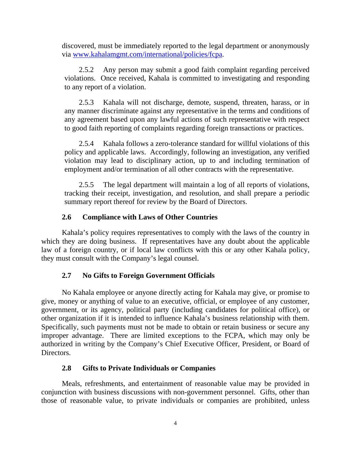discovered, must be immediately reported to the legal department or anonymously via www.kahalamgmt.com/international/policies/fcpa.

2.5.2 Any person may submit a good faith complaint regarding perceived violations. Once received, Kahala is committed to investigating and responding to any report of a violation.

2.5.3 Kahala will not discharge, demote, suspend, threaten, harass, or in any manner discriminate against any representative in the terms and conditions of any agreement based upon any lawful actions of such representative with respect to good faith reporting of complaints regarding foreign transactions or practices.

2.5.4 Kahala follows a zero-tolerance standard for willful violations of this policy and applicable laws. Accordingly, following an investigation, any verified violation may lead to disciplinary action, up to and including termination of employment and/or termination of all other contracts with the representative.

2.5.5 The legal department will maintain a log of all reports of violations, tracking their receipt, investigation, and resolution, and shall prepare a periodic summary report thereof for review by the Board of Directors.

# **2.6 Compliance with Laws of Other Countries**

Kahala's policy requires representatives to comply with the laws of the country in which they are doing business. If representatives have any doubt about the applicable law of a foreign country, or if local law conflicts with this or any other Kahala policy, they must consult with the Company's legal counsel.

# **2.7 No Gifts to Foreign Government Officials**

No Kahala employee or anyone directly acting for Kahala may give, or promise to give, money or anything of value to an executive, official, or employee of any customer, government, or its agency, political party (including candidates for political office), or other organization if it is intended to influence Kahala's business relationship with them. Specifically, such payments must not be made to obtain or retain business or secure any improper advantage. There are limited exceptions to the FCPA, which may only be authorized in writing by the Company's Chief Executive Officer, President, or Board of Directors.

# **2.8 Gifts to Private Individuals or Companies**

Meals, refreshments, and entertainment of reasonable value may be provided in conjunction with business discussions with non-government personnel. Gifts, other than those of reasonable value, to private individuals or companies are prohibited, unless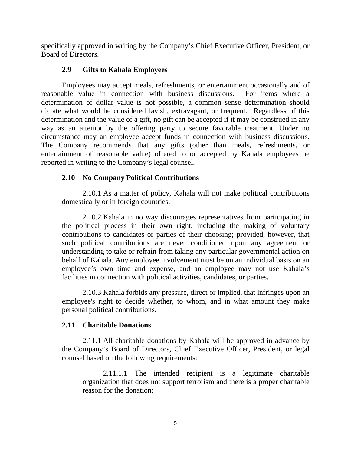specifically approved in writing by the Company's Chief Executive Officer, President, or Board of Directors.

# **2.9 Gifts to Kahala Employees**

Employees may accept meals, refreshments, or entertainment occasionally and of reasonable value in connection with business discussions. For items where a determination of dollar value is not possible, a common sense determination should dictate what would be considered lavish, extravagant, or frequent. Regardless of this determination and the value of a gift, no gift can be accepted if it may be construed in any way as an attempt by the offering party to secure favorable treatment. Under no circumstance may an employee accept funds in connection with business discussions. The Company recommends that any gifts (other than meals, refreshments, or entertainment of reasonable value) offered to or accepted by Kahala employees be reported in writing to the Company's legal counsel.

# **2.10 No Company Political Contributions**

 2.10.1 As a matter of policy, Kahala will not make political contributions domestically or in foreign countries.

 2.10.2 Kahala in no way discourages representatives from participating in the political process in their own right, including the making of voluntary contributions to candidates or parties of their choosing; provided, however, that such political contributions are never conditioned upon any agreement or understanding to take or refrain from taking any particular governmental action on behalf of Kahala. Any employee involvement must be on an individual basis on an employee's own time and expense, and an employee may not use Kahala's facilities in connection with political activities, candidates, or parties.

2.10.3 Kahala forbids any pressure, direct or implied, that infringes upon an employee's right to decide whether, to whom, and in what amount they make personal political contributions.

## **2.11 Charitable Donations**

 2.11.1 All charitable donations by Kahala will be approved in advance by the Company's Board of Directors, Chief Executive Officer, President, or legal counsel based on the following requirements:

 2.11.1.1 The intended recipient is a legitimate charitable organization that does not support terrorism and there is a proper charitable reason for the donation;